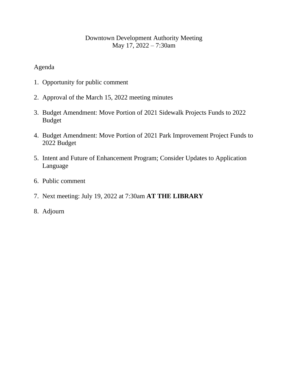## Downtown Development Authority Meeting May 17, 2022 – 7:30am

## Agenda

- 1. Opportunity for public comment
- 2. Approval of the March 15, 2022 meeting minutes
- 3. Budget Amendment: Move Portion of 2021 Sidewalk Projects Funds to 2022 Budget
- 4. Budget Amendment: Move Portion of 2021 Park Improvement Project Funds to 2022 Budget
- 5. Intent and Future of Enhancement Program; Consider Updates to Application Language
- 6. Public comment
- 7. Next meeting: July 19, 2022 at 7:30am **AT THE LIBRARY**
- 8. Adjourn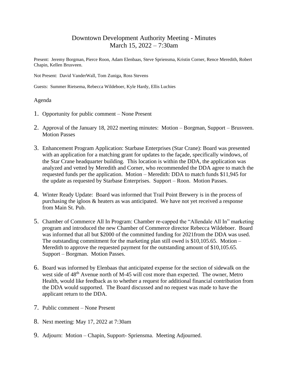### Downtown Development Authority Meeting - Minutes March 15, 2022 – 7:30am

Present: Jeremy Borgman, Pierce Roon, Adam Elenbaas, Steve Spriensma, Kristin Corner, Rence Meredith, Robert Chapin, Kellen Brusveen.

Not Present: David VanderWall, Tom Zuniga, Ross Stevens

Guests: Summer Rietsema, Rebecca Wildeboer, Kyle Hardy, Ellis Luchies

### Agenda

- 1. Opportunity for public comment None Present
- 2. Approval of the January 18, 2022 meeting minutes: Motion Borgman, Support Brusveen. Motion Passes
- 3. Enhancement Program Application: Starbase Enterprises (Star Crane): Board was presented with an application for a matching grant for updates to the façade, specifically windows, of the Star Crane headquarter building. This location is within the DDA, the application was analyzed and vetted by Meredith and Corner, who recommended the DDA agree to match the requested funds per the application. Motion – Meredith: DDA to match funds \$11,945 for the update as requested by Starbase Enterprises. Support – Roon. Motion Passes.
- 4. Winter Ready Update: Board was informed that Trail Point Brewery is in the process of purchasing the igloos & heaters as was anticipated. We have not yet received a response from Main St. Pub.
- 5. Chamber of Commerce All In Program: Chamber re-capped the "Allendale All In" marketing program and introduced the new Chamber of Commerce director Rebecca Wildeboer. Board was informed that all but \$2000 of the committed funding for 2021from the DDA was used. The outstanding commitment for the marketing plan still owed is \$10,105.65. Motion – Meredith to approve the requested payment for the outstanding amount of \$10,105.65. Support – Borgman. Motion Passes.
- 6. Board was informed by Elenbaas that anticipated expense for the section of sidewalk on the west side of 48<sup>th</sup> Avenue north of M-45 will cost more than expected. The owner, Metro Health, would like feedback as to whether a request for additional financial contribution from the DDA would supported. The Board discussed and no request was made to have the applicant return to the DDA.
- 7. Public comment None Present
- 8. Next meeting: May 17, 2022 at 7:30am
- 9. Adjourn: Motion Chapin, Support- Spriensma. Meeting Adjourned.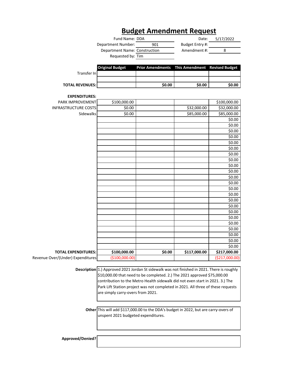## **Budget Amendment Request**

| Fund Name: DDA                |     | Date:           | 5/17/2022 |
|-------------------------------|-----|-----------------|-----------|
| Department Number:            | 901 | Budget Entry #: |           |
| Department Name: Construction |     | Amendment #:    |           |
| Requested by: Tim             |     |                 |           |
|                               |     |                 |           |
|                               |     |                 |           |

|                  | Original Budget | <b>Prior Amendments</b> This Amendment Revised Budget |        |        |
|------------------|-----------------|-------------------------------------------------------|--------|--------|
| Transfer In      |                 |                                                       |        |        |
|                  |                 |                                                       |        |        |
| TOTAL REVENUES:l |                 | \$0.00                                                | \$0.00 | \$0.00 |
|                  |                 |                                                       |        |        |

#### **EXPENDITURES:**

| Revenue Over/(Under) Expenditures | (\$100,000.00) |        |              | (\$217,000.00)   |
|-----------------------------------|----------------|--------|--------------|------------------|
| <b>TOTAL EXPENDITURES:</b>        | \$100,000.00   | \$0.00 | \$117,000.00 | \$217,000.00     |
|                                   |                |        |              | \$0.00           |
|                                   |                |        |              | \$0.00           |
|                                   |                |        |              | \$0.00           |
|                                   |                |        |              | \$0.00           |
|                                   |                |        |              | \$0.00           |
|                                   |                |        |              | \$0.00           |
|                                   |                |        |              | \$0.00           |
|                                   |                |        |              | \$0.00           |
|                                   |                |        |              | \$0.00           |
|                                   |                |        |              | \$0.00           |
|                                   |                |        |              | \$0.00           |
|                                   |                |        |              | \$0.00           |
|                                   |                |        |              | \$0.00           |
|                                   |                |        |              | \$0.00           |
|                                   |                |        |              | \$0.00           |
|                                   |                |        |              | \$0.00           |
|                                   |                |        |              | \$0.00           |
|                                   |                |        |              | \$0.00           |
|                                   |                |        |              | \$0.00           |
|                                   |                |        |              | \$0.00           |
|                                   |                |        |              | \$0.00           |
|                                   |                |        |              | \$0.00<br>\$0.00 |
| Sidewalks                         | 50.00          |        | \$85,000.00  | \$85,000.00      |
| <b>INFRASTRUCTURE COSTS</b>       | \$0.00         |        | \$32,000.00  | \$32,000.00      |
| PARK IMPROVEMENT                  | \$100,000.00   |        |              | \$100,000.00     |
| EAPENDITURES.                     |                |        |              |                  |

**Description** 1.) Approved 2021 Jordan St sidewalk was not finished in 2021. There is roughly \$10,000.00 that need to be completed. 2.) The 2021 approved \$75,000.00 contribution to the Metro Health sidewalk did not even start in 2021. 3.) The Park Lift Station project was not completed in 2021. All three of these requests are simply carry-overs from 2021.

**Other** This will add \$117,000.00 to the DDA's budget in 2022, but are carry-overs of unspent 2021 budgeted expenditures.

**Approved/Denied?**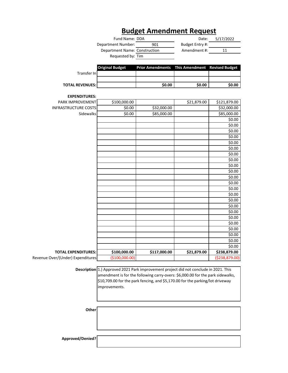# **Budget Amendment Request**

| Fund Name: DDA                |     | Date:           | 5/17/2022 |
|-------------------------------|-----|-----------------|-----------|
| Department Number:            | 901 | Budget Entry #: |           |
| Department Name: Construction |     | Amendment #:    | 11        |
| Requested by: Tim             |     |                 |           |

|                                   | <b>Original Budget</b> | <b>Prior Amendments</b> | <b>This Amendment</b> | <b>Revised Budget</b> |
|-----------------------------------|------------------------|-------------------------|-----------------------|-----------------------|
| Transfer In                       |                        |                         |                       |                       |
| <b>TOTAL REVENUES:</b>            |                        | \$0.00                  | \$0.00                | \$0.00                |
| <b>EXPENDITURES:</b>              |                        |                         |                       |                       |
| PARK IMPROVEMENT                  | \$100,000.00           |                         | \$21,879.00           | \$121,879.00          |
| <b>INFRASTRUCTURE COSTS</b>       | \$0.00                 | \$32,000.00             |                       | \$32,000.00           |
| Sidewalks                         | \$0.00                 | \$85,000.00             |                       | \$85,000.00           |
|                                   |                        |                         |                       | \$0.00                |
|                                   |                        |                         |                       | \$0.00                |
|                                   |                        |                         |                       | \$0.00                |
|                                   |                        |                         |                       | \$0.00                |
|                                   |                        |                         |                       | \$0.00                |
|                                   |                        |                         |                       | \$0.00                |
|                                   |                        |                         |                       | \$0.00                |
|                                   |                        |                         |                       | \$0.00                |
|                                   |                        |                         |                       | \$0.00                |
|                                   |                        |                         |                       | \$0.00                |
|                                   |                        |                         |                       | \$0.00                |
|                                   |                        |                         |                       | \$0.00                |
|                                   |                        |                         |                       | \$0.00                |
|                                   |                        |                         |                       | \$0.00                |
|                                   |                        |                         |                       | \$0.00                |
|                                   |                        |                         |                       | \$0.00                |
|                                   |                        |                         |                       | \$0.00                |
|                                   |                        |                         |                       | \$0.00                |
|                                   |                        |                         |                       | \$0.00                |
|                                   |                        |                         |                       | \$0.00                |
|                                   |                        |                         |                       | \$0.00                |
|                                   |                        |                         |                       | \$0.00                |
|                                   |                        |                         |                       | \$0.00                |
| <b>TOTAL EXPENDITURES:</b>        | \$100,000.00           | \$117,000.00            | \$21,879.00           | \$238,879.00          |
| Revenue Over/(Under) Expenditures | (\$100,000.00)         |                         |                       | ( \$238, 879.00)      |

**Description** 1.) Approved 2021 Park improvement project did not conclude in 2021. This amendment is for the following carry-overs: \$6,000.00 for the park sidewalks, \$10,709.00 for the park fencing, and \$5,170.00 for the parking/lot driveway improvements.

**Other**

**Approved/Denied?**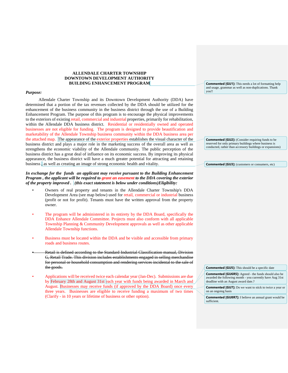#### **ALLENDALE CHARTER TOWNSHIP DOWNTOWN DEVELOPMENT AUTHORITY BUILDING ENHANCEMENT PROGRAM**

#### *Purpose:*

Allendale Charter Township and its Downtown Development Authority (DDA) have determined that a portion of the tax revenues collected by the DDA should be utilized for the enhancement of the business community in the business district through the use of a Building Enhancement Program. The purpose of this program is to encourage the physical improvements to the exteriors of existing retail, commercial and industrial properties, primarily for rehabilitation, within the Allendale DDA business district. Residential or residentially owned and operated businesses are not eligible for funding. The program is designed to provide beautification and marketability of the Allendale Township business community within the DDA business area per the attached map. The appearance of the exterior properties establishes the visual character of the business district and plays a major role in the marketing success of the overall area as well as strengthens the economic viability of the Allendale community. The public perception of the business district has a great deal of influence on its economic success. By improving its physical appearance, the business district will have a much greater potential for attracting and retaining business , as well as creating an image of strong economic health and vitality.

#### *In exchange for the funds an applicant may receive pursuant to the Building Enhancement Program , the applicant will be required to grant an easement to the DDA covering the exterior of the property improved . (this exact statement is below under conditions)Eligibility:*

- Owners of real property and tenants in the Allendale Charter Township's DDA Development Area (see map below) used for retail, commercial or industrial business (profit or not for profit). Tenants must have the written approval from the property owner.
- The program will be administered in its entirety by the DDA Board, specifically the DDA Enhance Allendale Committee. Projects must also conform with all applicable Township Planning & Community Development approvals as well as other applicable Allendale Township functions.
- Business must be located within the DDA and be visible and accessible from primary roads and business routes.
- Retail is defined according to the Standard Industrial Classification manual, Division G, Retail Trade. This division includes establishments engaged in selling merchandise for personal or household consumption and rendering services incidental to the sale of the goods.
- Applications will be received twice each calendar year (Jan-Dec). Submissions are due by February 28th and August 31st each year with funds being awarded in March and August. Businesses may receive funds (if approved by the DDA Board) once every three years. Businesses are eligible to receive funding a maximum of two times (Clarify - in 10 years or lifetime of business or other option).

**Commented [GU1]:** This needs a lot of formatting help and usage, grammar as well as non-duplications. Thank you!!

**Commented [GU2]:** (Consider requiring funds to be reserved for only primary buildings where business is conducted, rather than accessory buildings or expansions)

**Commented [GU3]:** (customers or consumers, etc)

**Commented [GU5]:** This should be a specific date

**Commented [GU6R5]:** Agreed - the funds should also be awarded the following month - you currently have Aug 31st deadline with an August award date.?

**Commented [GU7]:** Do we want to stick to twice a year or on an ongoing basis

**Commented [GU8R7]:** I believe an annual grant would be sufficient.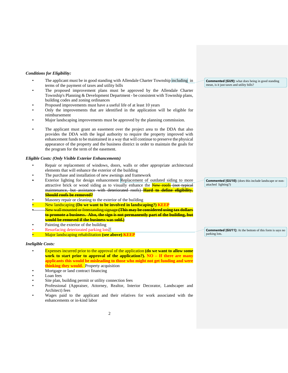#### *Conditions for Eligibility:*

- The applicant must be in good standing with Allendale Charter Township including in terms of the payment of taxes and utility bills
- The proposed improvement plans must be approved by the Allendale Charter Township's Planning & Development Department - be consistent with Township plans, building codes and zoning ordinances
- Proposed improvements must have a useful life of at least 10 years
- Only the improvements that are identified in the application will be eligible for reimbursement
- Major landscaping improvements must be approved by the planning commission.
- The applicant must grant an easement over the project area to the DDA that also provides the DDA with the legal authority to require the property improved with enhancement funds to be maintained in a way that will continue to preserve the physical appearance of the property and the business district in order to maintain the goals for the program for the term of the easement.

#### *Eligible Costs: (Only Visible Exterior Enhancements)*

- Repair or replacement of windows, doors, walls or other appropriate architectural elements that will enhance the exterior of the building
- The purchase and installation of new awnings and framework
- Exterior lighting for design enhancement Replacement of outdated siding to more attractive brick or wood siding as to visually enhance the New roofs (not typical maintenance, but assistance with deteriorated roofs) **Hard to define eligibility.** 
	- **Should roofs be removed?**
- Masonry repair or cleaning to the exterior of the building
- New landscaping **(Do we want to be involved in landscaping?) KEEP**
- New wall mounted or freestanding signage **(This may be considered using tax dollars to promote a business. Also, the sign is not permanently part of the building, but would be removed if the business was sold.)**
- Painting the exterior of the building
- Resurfacing deteriorated parking lots?
- Major landscaping rehabilitation **(see above) KEEP**

#### *Ineligible Costs:*

- Expenses incurred prior to the approval of the application **(do we want to allow some work to start prior to approval of the application?). NO – If there are many applicants this would be misleading to those who might not get funding and were thinking they would.** Property acquisition
- Mortgage or land contract financing
- Loan fees
- Site plan, building permit or utility connection fees
- Professional (Appraiser, Attorney, Realtor, Interior Decorator, Landscaper and Architect) fees
- Wages paid to the applicant and their relatives for work associated with the enhancements or in-kind labor

**Commented [GU9]:** what does being in good standing mean, is it just taxes and utility bills?

**Commented [GU10]:** (does this include landscape or nonattached lighting?)

**Commented [GU11]:** At the bottom of this form is says no parking lots.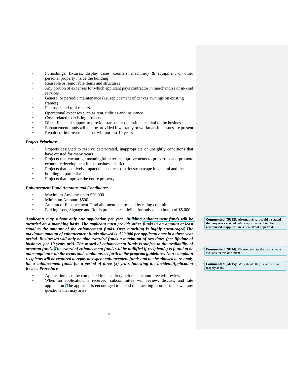- Furnishings, fixtures, display cases, counters, machinery  $\&$  equipment or other personal property inside the building
- Reusable or removable items and structures
- Any portion of expenses for which applicant pays contractor in merchandise or in-kind services
- General or periodic maintenance (i.e. replacement of canvas awnings on existing
- frames)
- Flat roofs and roof repairs
- Operational expenses such as rent, utilities and insurance
- Costs related to existing projects
- Direct financial support to provide start-up or operational capital to the business
- Enhancement funds will not be provided if warranty or workmanship issues are present
- Repairs or improvements that will not last 10 years.

#### *Project Priorities:*

- Projects designed to resolve deteriorated, inappropriate or unsightly conditions that have existed for many years
- Projects that encourage meaningful exterior improvements to properties and promote economic development in the business district
- Projects that positively impact the business district streetscape in general and the
- building in particular
- Projects that improve the entire property

#### *Enhancement Fund Amounts and Conditions:*

- Maximum Amount: up to \$20,000
- Minimum Amount: \$500
- Amount of Enhancement Fund allotment determined by rating committee
- Parking Lots, Signage and Roofs projects are eligible for only a maximum of \$5,000

*Applicants may submit only one application per year. Building enhancement funds will be awarded on a matching basis. The applicant must provide other funds in an amount at least equal to the amount of the enhancement funds. Over matching is highly encouraged The maximum amount of enhancement funds allowed is \$20,000 per applicant once in a three year period. Businesses will only be able awarded funds a maximum of two times (per lifetime of business, per 10 years or?). The award of enhancement funds is subject to the availability of program funds. The award of enhancement funds will be nullified if recipient(s) is found to be noncompliant with the terms and conditions set forth in the program guidelines. Non-compliant recipients will be required to repay any spent enhancement funds and not be allowed to re-apply for a enhancement funds for a period of three (3) years following the incident.Application Review Procedure*

- Application must be completed in its entirety before subcommittee will review.
- When an application is received, subcommittee will review, discuss, and rate application  $\hat{\text{The}}$  applicant is encouraged to attend this meeting in order to answer any questions that may arise.

**Commented [GU12]: Alternatively, it could be stated that any work started before approval will not be reimbursed if application is denied/not approved.** 

**Commented [GU14]:** We need to state the total amount available in this document.

**Commented [GU15]:** Why should they be allowed to reapply at all?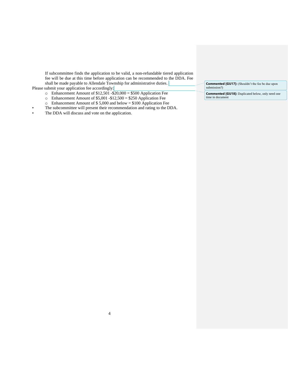If subcommittee finds the application to be valid, a non-refundable tiered application fee will be due at this time before application can be recommended to the DDA. Fee shall be made payable to Allendale Township for administrative duties. Please submit your application fee accordingly:

- $\circ$  Enhancement Amount of \$12,501 -\$20,000 = \$500 Application Fee
- $\circ$  Enhancement Amount of \$5,001 -\$12,500 = \$250 Application Fee
- o Enhancement Amount of \$ 5,000 and below = \$100 Application Fee
- The subcommittee will present their recommendation and rating to the DDA.

• The DDA will discuss and vote on the application.

**Commented [GU17]:** (Shouldn't the fee be due upon submission?)

**Commented [GU18]:** Duplicated below, only need one time in document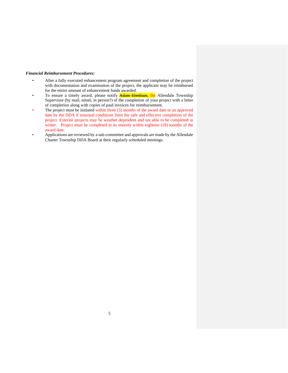#### *Financial Reimbursement Procedures:*

- After a fully executed enhancement program agreement and completion of the project with documentation and examination of the project, the applicant may be reimbursed for the entire amount of enhancement funds awarded.
- To ensure a timely award, please notify **Adam Elenbaas, the** Allendale Township Supervisor (by mail, email, in person?) of the completion of your project with a letter of completion along with copies of paid invoices for reimbursement.
- The project must be initiated within three (3) months of the award date or an approved date by the DDA if seasonal conditions limit the safe and effective completion of the project. Exterior projects may be weather dependent and not able to be completed in winter. Project must be completed in its entirety within eighteen (18) months of the award date.
- Applications are reviewed by a sub-committee and approvals are made by the Allendale Charter Township DDA Board at their regularly scheduled meetings.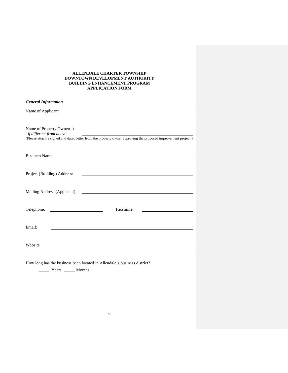#### **ALLENDALE CHARTER TOWNSHIP DOWNTOWN DEVELOPMENT AUTHORITY BUILDING ENHANCEMENT PROGRAM APPLICATION FORM**

| <b>General Information</b>                                                                                                                                             |
|------------------------------------------------------------------------------------------------------------------------------------------------------------------------|
| Name of Applicant:                                                                                                                                                     |
| Name of Property Owner(s)<br>if different from above:<br>(Please attach a signed and dated letter from the property owner approving the proposed improvement project.) |
| <b>Business Name:</b><br><u> 1989 - Johann Barbara, martxa alemaniar amerikan a</u>                                                                                    |
| Project (Building) Address:                                                                                                                                            |
| Mailing Address (Applicant):                                                                                                                                           |
| Facsimile:<br>Telephone:<br><u> 1989 - Jan Samuel Barbara, político e a f</u>                                                                                          |
| Email:                                                                                                                                                                 |
| Website                                                                                                                                                                |
|                                                                                                                                                                        |

How long has the business been located in Allendale's business district?

\_\_\_\_\_ Years \_\_\_\_\_ Months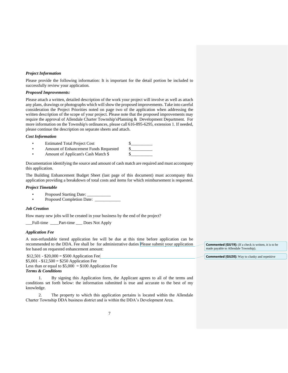#### *Project Information*

Please provide the following information: It is important for the detail portion be included to successfully review your application.

#### *Proposed Improvements:*

Please attach a written, detailed description of the work your project will involve as well as attach any plans, drawings or photographs which will show the proposed improvements. Take into careful consideration the Project Priorities noted on page two of the application when addressing the written description of the scope of your project. Please note that the proposed improvements may require the approval of Allendale Charter Township'sPlanning & Development Department. For more information on the Township's ordinances, please call 616-895-6295, extension 1. If needed, please continue the description on separate sheets and attach.

#### *Cost Information*

- Estimated Total Project Cost
- Amount of Enhancement Funds Requested  $\qquad$  \$
- Amount of Applicant's Cash Match \$

Documentation identifying the source and amount of cash match are required and must accompany this application.

The Building Enhancement Budget Sheet (last page of this document) must accompany this application providing a breakdown of total costs and items for which reimbursement is requested.

#### *Project Timetable*

- Proposed Starting Date: \_
- Proposed Completion Date: \_

#### *Job Creation*

How many new jobs will be created in your business by the end of the project?

\_\_\_Full-time \_\_\_\_Part-time \_\_\_ Does Not Apply

#### *Application Fee*

A non-refundable tiered application fee will be due at this time before application can be recommended to the DDA. Fee shall be for administrative duties Please submit your application fee based on requested enhancement amount:

 $$12,501 - $20,000 = $500$  Application Fee  $$5,001 - $12,500 = $250$  Application Fee Less than or equal to  $$5,000 = $100$  Application Fee *Terms & Conditions*

1. By signing this Application form, the Applicant agrees to all of the terms and conditions set forth below: the information submitted is true and accurate to the best of my knowledge.

2. The property to which this application pertains is located within the Allendale Charter Township DDA business district and is within the DDA's Development Area.

**Commented [GU19]:** (If a check is written, it is to be made payable to Allendale Township).

**Commented [GU20]:** Way to clunky and repetitive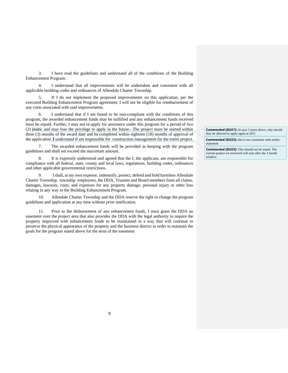3. I have read the guidelines and understand all of the conditions of the Building Enhancement Program.

4. I understand that all improvements will be undertaken and consistent with all applicable building codes and ordinances of Allendale Charter Township.

5. If I do not implement the proposed improvements on this application, per the executed Building Enhancement Program agreement, I will not be eligible for reimbursement of any costs associated with said improvements.

6. I understand that if I am found to be non-compliant with the conditions of this program, the awarded enhancement funds may be nullified and any enhancement funds received must be repaid. Further, I may not re-apply for assistance under this program for a period of two (2) years and may lose the privilege to apply in the future.- The project must be started within three (3) months of the award date and be completed within eighteen (18) months of approval of the application. I understand tI am responsible for construction management for the entire project.

7. The awarded enhancement funds will be provided in keeping with the program guidelines and shall not exceed the maximum amount.

8. It is expressly understood and agreed that the I, the applicant, am responsible for compliance with all federal, state, county and local laws, regulations, building codes, ordinances and other applicable governmental restrictions.

9. I shall, at my own expense, indemnify, protect, defend and hold harmless Allendale Charter Township, township employees, the DDA, Trustees and Board members from all claims, damages, lawsuits, costs, and expenses for any property damage, personal injury or other loss relating in any way to the Building Enhancement Program.

10. Allendale Charter Township and the DDA reserve the right to change the program guidelines and application at any time without prior notification.

11. Prior to the disbursement of any enhancement funds, I must grant the DDA an easement over the project area that also provides the DDA with the legal authority to require the property improved with enhancement funds to be maintained in a way that will continue to preserve the physical appearance of the property and the business district in order to maintain the goals for the program stated above for the term of the easement

**Commented [GU21]:** (it says 3 years above, why should they be allowed to apply again at all?)

**Commented [GU22]:** this is not consistent with earlier statement

**Commented [GU23]:** This should not be stated. The current project we reviewed will start after the 3 month window.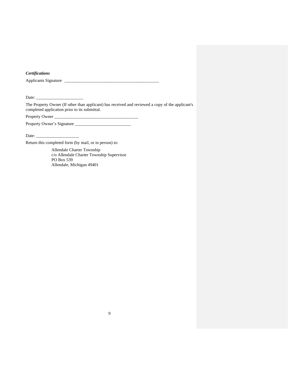*Certifications*

Applicants Signature \_\_\_\_\_\_\_\_\_\_\_\_\_\_\_\_\_\_\_\_\_\_\_\_\_\_\_\_\_\_\_\_\_\_\_\_\_\_\_\_\_\_\_\_

Date: \_\_\_\_\_\_\_\_\_\_\_\_\_\_\_\_\_\_\_\_\_\_

The Property Owner (If other than applicant) has received and reviewed a copy of the applicant's completed application prior to its submittal.

Property Owner \_\_\_\_\_\_\_\_\_\_\_\_\_\_\_\_\_\_\_\_\_\_\_\_\_\_\_\_\_\_\_\_\_\_\_\_\_\_\_ Property Owner's Signature \_\_\_\_\_\_\_\_\_\_\_\_\_\_\_\_\_\_\_\_\_\_\_\_\_\_

Date:  $\_\_$ 

Return this completed form (by mail, or in person) to:

Allendale Charter Township c/o Allendale Charter Township Supervisor PO Box 539 Allendale, Michigan 49401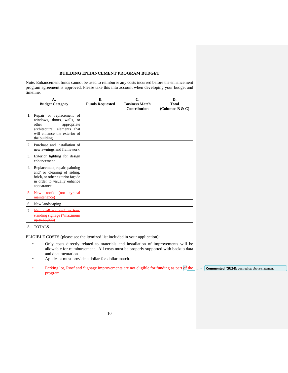#### **BUILDING ENHANCEMENT PROGRAM BUDGET**

Note: Enhancement funds cannot be used to reimburse any costs incurred before the enhancement program agreement is approved. Please take this into account when developing your budget and timeline.

|                                 | Α.<br><b>Budget Category</b>                                                                                                                                 | В.<br><b>Funds Requested</b> | C.<br><b>Business Match</b><br>Contribution | D.<br><b>Total</b><br>(Columns B & C) |
|---------------------------------|--------------------------------------------------------------------------------------------------------------------------------------------------------------|------------------------------|---------------------------------------------|---------------------------------------|
| 1.                              | Repair or replacement of<br>windows, doors, walls, or<br>other<br>appropriate<br>architectural elements that<br>will enhance the exterior of<br>the building |                              |                                             |                                       |
| 2.                              | Purchase and installation of<br>new awnings and framework                                                                                                    |                              |                                             |                                       |
| 3.                              | Exterior lighting for design<br>enhancement                                                                                                                  |                              |                                             |                                       |
| 4.                              | Replacement, repair, painting<br>and/ or cleaning of siding,<br>brick, or other exterior façade<br>in order to visually enhance<br>appearance                |                              |                                             |                                       |
|                                 | 5. New roofs (not typical<br>maintenance)                                                                                                                    |                              |                                             |                                       |
| 6.                              | New landscaping                                                                                                                                              |                              |                                             |                                       |
| $7_{\scriptscriptstyle{\circ}}$ | New wall-mounted or free-<br>standing signage (*maximum<br>up to \$5,000)                                                                                    |                              |                                             |                                       |
| 8.                              | <b>TOTALS</b>                                                                                                                                                |                              |                                             |                                       |

ELIGIBLE COSTS (please see the itemized list included in your application):

- Only costs directly related to materials and installation of improvements will be allowable for reimbursement. All costs must be properly supported with backup data and documentation.
- Applicant must provide a dollar-for-dollar match.
- Parking lot, Roof and Signage improvements are not eligible for funding as part of the program.

**Commented [GU24]:** contradicts above statement